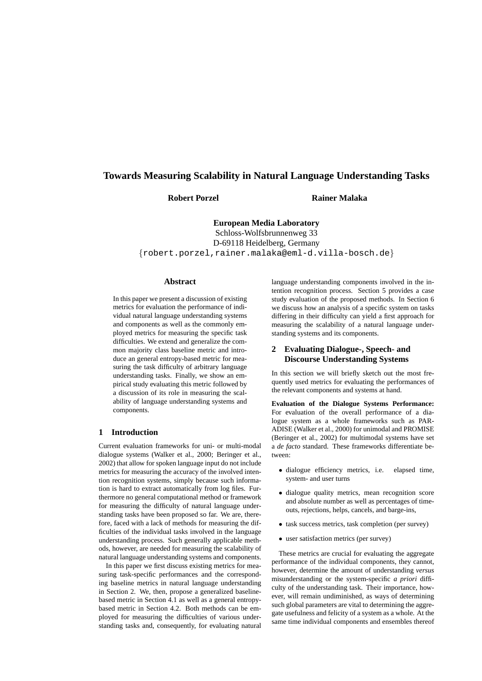# **Towards Measuring Scalability in Natural Language Understanding Tasks**

**Robert Porzel Rainer Malaka**

**European Media Laboratory** Schloss-Wolfsbrunnenweg 33 D-69118 Heidelberg, Germany {robert.porzel,rainer.malaka@eml-d.villa-bosch.de}

# **Abstract**

In this paper we present a discussion of existing metrics for evaluation the performance of individual natural language understanding systems and components as well as the commonly employed metrics for measuring the specific task difficulties. We extend and generalize the common majority class baseline metric and introduce an general entropy-based metric for measuring the task difficulty of arbitrary language understanding tasks. Finally, we show an empirical study evaluating this metric followed by a discussion of its role in measuring the scalability of language understanding systems and components.

## **1 Introduction**

Current evaluation frameworks for uni- or multi-modal dialogue systems (Walker et al., 2000; Beringer et al., 2002) that allow for spoken language input do not include metrics for measuring the accuracy of the involved intention recognition systems, simply because such information is hard to extract automatically from log files. Furthermore no general computational method or framework for measuring the difficulty of natural language understanding tasks have been proposed so far. We are, therefore, faced with a lack of methods for measuring the difficulties of the individual tasks involved in the language understanding process. Such generally applicable methods, however, are needed for measuring the scalability of natural language understanding systems and components.

In this paper we first discuss existing metrics for measuring task-specific performances and the corresponding baseline metrics in natural language understanding in Section 2. We, then, propose a generalized baselinebased metric in Section 4.1 as well as a general entropybased metric in Section 4.2. Both methods can be employed for measuring the difficulties of various understanding tasks and, consequently, for evaluating natural language understanding components involved in the intention recognition process. Section 5 provides a case study evaluation of the proposed methods. In Section 6 we discuss how an analysis of a specific system on tasks differing in their difficulty can yield a first approach for measuring the scalability of a natural language understanding systems and its components.

## **2 Evaluating Dialogue-, Speech- and Discourse Understanding Systems**

In this section we will briefly sketch out the most frequently used metrics for evaluating the performances of the relevant components and systems at hand.

**Evaluation of the Dialogue Systems Performance:** For evaluation of the overall performance of a dialogue system as a whole frameworks such as PAR-ADISE (Walker et al., 2000) for unimodal and PROMISE (Beringer et al., 2002) for multimodal systems have set a *de facto* standard. These frameworks differentiate between:

- dialogue efficiency metrics, i.e. elapsed time, system- and user turns
- dialogue quality metrics, mean recognition score and absolute number as well as percentages of timeouts, rejections, helps, cancels, and barge-ins,
- task success metrics, task completion (per survey)
- user satisfaction metrics (per survey)

These metrics are crucial for evaluating the aggregate performance of the individual components, they cannot, however, determine the amount of understanding *versus* misunderstanding or the system-specific *a priori* difficulty of the understanding task. Their importance, however, will remain undiminished, as ways of determining such global parameters are vital to determining the aggregate usefulness and felicity of a system as a whole. At the same time individual components and ensembles thereof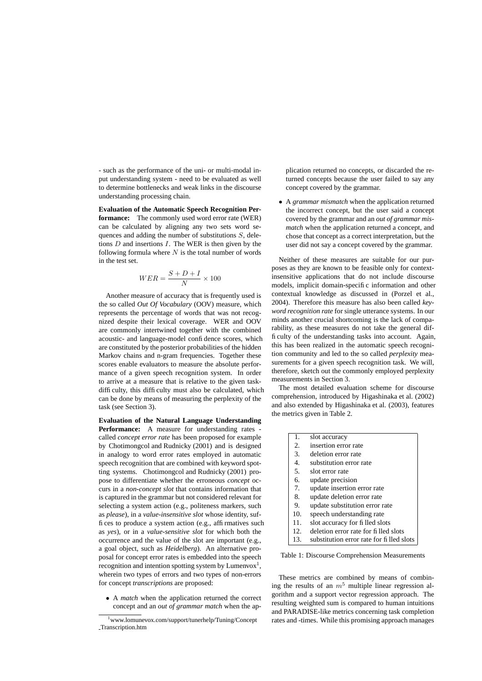- such as the performance of the uni- or multi-modal input understanding system - need to be evaluated as well to determine bottlenecks and weak links in the discourse understanding processing chain.

**Evaluation of the Automatic Speech Recognition Performance:** The commonly used word error rate (WER) can be calculated by aligning any two sets word sequences and adding the number of substitutions  $S$ , deletions  $D$  and insertions  $I$ . The WER is then given by the following formula where  $N$  is the total number of words in the test set.

$$
WER = \frac{S + D + I}{N} \times 100
$$

Another measure of accuracy that is frequently used is the so called *Out Of Vocabulary* (OOV) measure, which represents the percentage of words that was not recognized despite their lexical coverage. WER and OOV are commonly intertwined together with the combined acoustic- and language-model confidence scores, which are constituted by the posterior probabilities of the hidden Markov chains and n-gram frequencies. Together these scores enable evaluators to measure the absolute performance of a given speech recognition system. In order to arrive at a measure that is relative to the given taskdifficulty, this difficulty must also be calculated, which can be done by means of measuring the perplexity of the task (see Section 3).

# **Evaluation of the Natural Language Understanding**

**Performance:** A measure for understanding rates called *concept error rate* has been proposed for example by Chotimongcol and Rudnicky (2001) and is designed in analogy to word error rates employed in automatic speech recognition that are combined with keyword spotting systems. Chotimongcol and Rudnicky (2001) propose to differentiate whether the erroneous *concept* occurs in a *non-concept slot* that contains information that is captured in the grammar but not considered relevant for selecting a system action (e.g., politeness markers, such as *please*), in a *value-insensitive slot* whose identity, suffices to produce a system action (e.g., affirmatives such as *yes*), or in a *value-sensitive slot* for which both the occurrence and the value of the slot are important (e.g., a goal object, such as *Heidelberg*). An alternative proposal for concept error rates is embedded into the speech recognition and intention spotting system by Lumenvox<sup>1</sup>, wherein two types of errors and two types of non-errors for concept *transcriptions* are proposed:

• A *match* when the application returned the correct concept and an *out of grammar match* when the application returned no concepts, or discarded the returned concepts because the user failed to say any concept covered by the grammar.

• A *grammar mismatch* when the application returned the incorrect concept, but the user said a concept covered by the grammar and an *out of grammar mismatch* when the application returned a concept, and chose that concept as a correct interpretation, but the user did not say a concept covered by the grammar.

Neither of these measures are suitable for our purposes as they are known to be feasible only for contextinsensitive applications that do not include discourse models, implicit domain-specific information and other contextual knowledge as discussed in (Porzel et al., 2004). Therefore this measure has also been called *keyword recognition rate* for single utterance systems. In our minds another crucial shortcoming is the lack of comparability, as these measures do not take the general difficulty of the understanding tasks into account. Again, this has been realized in the automatic speech recognition community and led to the so called *perplexity* measurements for a given speech recognition task. We will, therefore, sketch out the commonly employed perplexity measurements in Section 3.

The most detailed evaluation scheme for discourse comprehension, introduced by Higashinaka et al. (2002) and also extended by Higashinaka et al. (2003), features the metrics given in Table 2.

- 1. slot accuracy
- 2. insertion error rate
- 3. deletion error rate
- 4. substitution error rate
- 5. slot error rate
- 6. update precision
- 7. update insertion error rate
- 8. update deletion error rate
- 9. update substitution error rate
- 10. speech understanding rate
- 11. slot accuracy for filled slots
- 12. deletion error rate for filled slots
- 13. substitution error rate for filled slots

Table 1: Discourse Comprehension Measurements

These metrics are combined by means of combining the results of an  $m<sup>5</sup>$  multiple linear regression algorithm and a support vector regression approach. The resulting weighted sum is compared to human intuitions and PARADISE-like metrics concerning task completion rates and -times. While this promising approach manages

<sup>1</sup>www.lomunevox.com/support/tunerhelp/Tuning/Concept Transcription.htm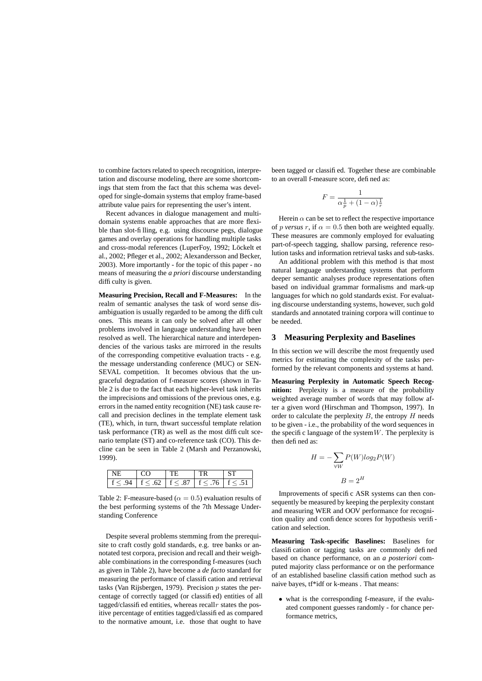to combine factors related to speech recognition, interpretation and discourse modeling, there are some shortcomings that stem from the fact that this schema was developed for single-domain systems that employ frame-based attribute value pairs for representing the user's intent.

Recent advances in dialogue management and multidomain systems enable approaches that are more flexible than slot-filling, e.g. using discourse pegs, dialogue games and overlay operations for handling multiple tasks and cross-modal references (LuperFoy, 1992; Löckelt et al., 2002; Pfleger et al., 2002; Alexandersson and Becker, 2003). More importantly - for the topic of this paper - no means of measuring the *a priori* discourse understanding difficulty is given.

**Measuring Precision, Recall and F-Measures:** In the realm of semantic analyses the task of word sense disambiguation is usually regarded to be among the difficult ones. This means it can only be solved after all other problems involved in language understanding have been resolved as well. The hierarchical nature and interdependencies of the various tasks are mirrored in the results of the corresponding competitive evaluation tracts - e.g. the message understanding conference (MUC) or SEN-SEVAL competition. It becomes obvious that the ungraceful degradation of f-measure scores (shown in Table 2 is due to the fact that each higher-level task inherits the imprecisions and omissions of the previous ones, e.g. errors in the named entity recognition (NE) task cause recall and precision declines in the template element task (TE), which, in turn, thwart successful template relation task performance (TR) as well as the most difficult scenario template (ST) and co-reference task (CO). This decline can be seen in Table 2 (Marsh and Perzanowski, 1999).

| L |      |         |  |
|---|------|---------|--|
|   | 62 L | $+< 87$ |  |

Table 2: F-measure-based ( $\alpha = 0.5$ ) evaluation results of the best performing systems of the 7th Message Understanding Conference

Despite several problems stemming from the prerequisite to craft costly gold standards, e.g. tree banks or annotated test corpora, precision and recall and their weighable combinations in the corresponding f-measures (such as given in Table 2), have become a *de facto* standard for measuring the performance of classification and retrieval tasks (Van Rijsbergen, 1979). Precision  $p$  states the percentage of correctly tagged (or classified) entities of all tagged/classified entities, whereas recall  $r$  states the positive percentage of entities tagged/classified as compared to the normative amount, i.e. those that ought to have

been tagged or classified. Together these are combinable to an overall f-measure score, defined as:

$$
F = \frac{1}{\alpha \frac{1}{p} + (1 - \alpha) \frac{1}{r}}
$$

Herein  $\alpha$  can be set to reflect the respective importance of *p versus* r, if  $\alpha = 0.5$  then both are weighted equally. These measures are commonly employed for evaluating part-of-speech tagging, shallow parsing, reference resolution tasks and information retrieval tasks and sub-tasks.

An additional problem with this method is that most natural language understanding systems that perform deeper semantic analyses produce representations often based on individual grammar formalisms and mark-up languages for which no gold standards exist. For evaluating discourse understanding systems, however, such gold standards and annotated training corpora will continue to be needed.

## **3 Measuring Perplexity and Baselines**

In this section we will describe the most frequently used metrics for estimating the complexity of the tasks performed by the relevant components and systems at hand.

**Measuring Perplexity in Automatic Speech Recognition:** Perplexity is a measure of the probability weighted average number of words that may follow after a given word (Hirschman and Thompson, 1997). In order to calculate the perplexity  $B$ , the entropy  $H$  needs to be given - i.e., the probability of the word sequences in the specific language of the system  $W$ . The perplexity is then defined as:

$$
H = -\sum_{\forall W} P(W) \log_2 P(W)
$$

$$
B = 2^H
$$

Improvements of specific ASR systems can then consequently be measured by keeping the perplexity constant and measuring WER and OOV performance for recognition quality and confidence scores for hypothesis verification and selection.

**Measuring Task-specific Baselines:** Baselines for classification or tagging tasks are commonly defined based on chance performance, on an *a posteriori* computed majority class performance or on the performance of an established baseline classification method such as naive bayes, tf\*idf or k-means . That means:

• what is the corresponding f-measure, if the evaluated component guesses randomly - for chance performance metrics,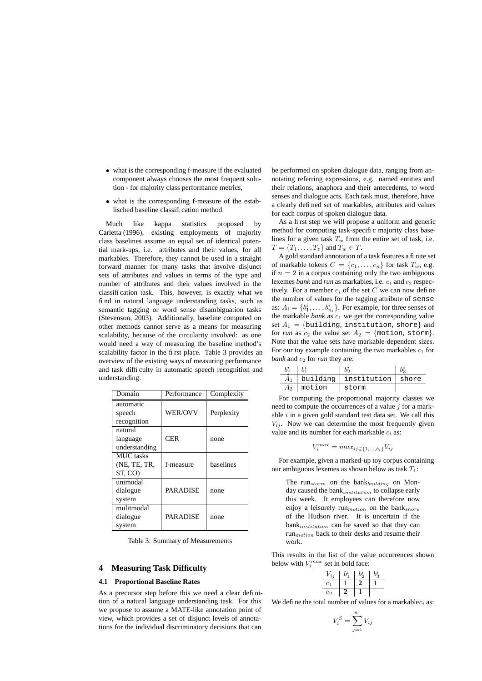- what is the corresponding f-measure if the evaluated component always chooses the most frequent solution - for majority class performance metrics,
- what is the corresponding f-measure of the establisched baseline classification method.

Much like kappa statistics proposed by Carletta (1996), existing employments of majority class baselines assume an equal set of identical potential mark-ups, i.e. attributes and their values, for all markables. Therefore, they cannot be used in a straight forward manner for many tasks that involve disjunct sets of attributes and values in terms of the type and number of attributes and their values involved in the classification task. This, however, is exactly what we find in natural language understanding tasks, such as semantic tagging or word sense disambiguation tasks (Stevenson, 2003). Additionally, baseline computed on other methods cannot serve as a means for measuring scalability, because of the circularity involved: as one would need a way of measuring the baseline method's scalability factor in the first place. Table 3 provides an overview of the existing ways of measuring performance and task difficulty in automatic speech recognition and understanding.

| Domain           | Performance     | Complexity |
|------------------|-----------------|------------|
| automatic        |                 |            |
| speech           | <b>WER/OVV</b>  | Perplexity |
| recognition      |                 |            |
| natural          |                 |            |
| language         | <b>CER</b>      | none       |
| understanding    |                 |            |
| <b>MUC</b> tasks |                 |            |
| (NE, TE, TR,     | f-measure       | baselines  |
| ST, CO)          |                 |            |
| unimodal         |                 |            |
| dialogue         | <b>PARADISE</b> | none       |
| system           |                 |            |
| mulitmodal       |                 |            |
| dialogue         | <b>PARADISE</b> | none       |
| system           |                 |            |

Table 3: Summary of Measurements

## **4 Measuring Task Difficulty**

#### **4.1 Proportional Baseline Rates**

As a precursor step before this we need a clear definition of a natural language understanding task. For this we propose to assume a MATE-like annotation point of view, which provides a set of disjunct levels of annotations for the individual discriminatory decisions that can

be performed on spoken dialogue data, ranging from annotating referring expressions, e.g. named entities and their relations, anaphora and their antecedents, to word senses and dialogue acts. Each task must, therefore, have a clearly defined set of markables, attributes and values for each corpus of spoken dialogue data.

As a first step we will propose a uniform and generic method for computing task-specific majority class baselines for a given task  $T_w$  from the entire set of task, i.e.  $T = \{T_1, \ldots, T_z\}$  and  $T_w \in T$ .

A gold standard annotation of a task features a finite set of markable tokens  $C = \{c_1, \ldots, c_n\}$  for task  $T_w$ , e.g. if  $n = 2$  in a corpus containing only the two ambiguous lexemes *bank* and *run* as markables, i.e.  $c_1$  and  $c_2$  respectively. For a member  $c_i$  of the set C we can now define the number of values for the tagging attribute of sense as:  $A_i = \{b_1^i, \dots, b_{n_i}^i\}$ . For example, for three senses of the markable  $bank$  as  $c_1$  we get the corresponding value set  $A_1 = \{$ building, institution, shore} and for *run* as  $c_2$  the value set  $A_2 = \{\text{motion}, \text{storm}\}.$ Note that the value sets have markable-dependent sizes. For our toy example containing the two markables  $c_1$  for *bank* and  $c_2$  for *run* they are:

| $A_1$ |                | building   institution   shore |  |
|-------|----------------|--------------------------------|--|
|       | $A_2$   motion | storm                          |  |

For computing the proportional majority classes we need to compute the occurrences of a value  $i$  for a markable  $i$  in a given gold standard test data set. We call this  $V_{ij}$ . Now we can determine the most frequently given value and its number for each markable  $c_i$  as:

$$
V_i^{max} = max_{ij \in \{1, \ldots, b_i\}} V_{ij}
$$

For example, given a marked-up toy corpus containing our ambiguous lexemes as shown below as task  $T_1$ :

The run $_{storm}$  on the bank $_{building}$  on Monday caused the bank<sub>institution</sub> to collapse early this week. It employees can therefore now enjoy a leisurely run $<sub>motion</sub>$  on the bank $<sub>shore</sub>$ </sub></sub> of the Hudson river. It is uncertain if the bankinstitution can be saved so that they can  $run_{motion}$  back to their desks and resume their work.

This results in the list of the value occurrences shown below with  $V_i^{max}$  set in bold face:

$$
\begin{array}{c|cc} V_{ij} & b_1^i & b_2^i & b_3^i \\ \hline c_1 & 1 & 2 & 1 \\ \hline c_2 & 2 & 1 & \end{array}
$$

We define the total number of values for a markable  $c_i$  as:

$$
V_i^S = \sum_{j=1}^{n_1} V_{ij}
$$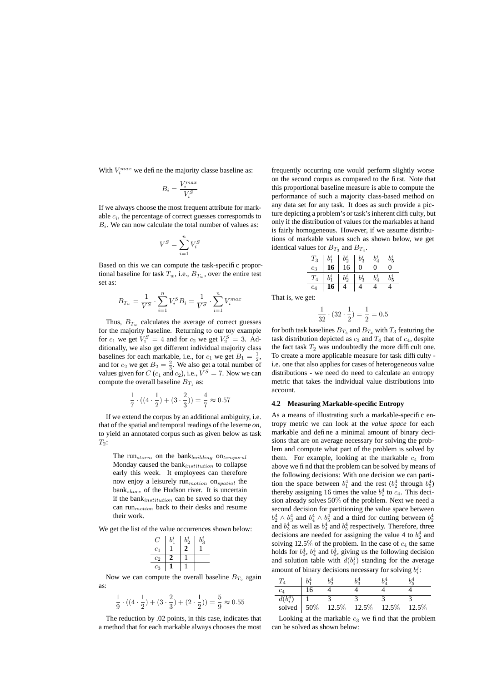With  $V_i^{max}$  we define the majority classe baseline as:

$$
B_i = \frac{V_i^{max}}{V_i^S}
$$

If we always choose the most frequent attribute for markable  $c_i$ , the percentage of correct guesses correspomds to  $B_i$ . We can now calculate the total number of values as:

$$
V^S = \sum_{i=1}^n V^S_i
$$

Based on this we can compute the task-specific proportional baseline for task  $T_w$ , i.e.,  $B_{T_w}$ , over the entire test set as:

$$
B_{T_w} = \frac{1}{V^S} \cdot \sum_{i=1}^n V_i^S B_i = \frac{1}{V^S} \cdot \sum_{i=1}^n V_i^{max}
$$

Thus,  $B_{T_w}$  calculates the average of correct guesses for the majority baseline. Returning to our toy example for  $c_1$  we get  $V_1^S = 4$  and for  $c_2$  we get  $V_2^S = 3$ . Additionally, we also get different individual majority class baselines for each markable, i.e., for  $c_1$  we get  $B_1 = \frac{1}{2}$ , and for  $c_2$  we get  $B_2 = \frac{2}{3}$ . We also get a total number of values given for  $C$  ( $c_1$  and  $c_2$ ), i.e.,  $V^S = 7$ . Now we can compute the overall baseline  $B_{T_1}$  as:

$$
\frac{1}{7} \cdot ((4 \cdot \frac{1}{2}) + (3 \cdot \frac{2}{3})) = \frac{4}{7} \approx 0.57
$$

If we extend the corpus by an additional ambiguity, i.e. that of the spatial and temporal readings of the lexeme *on*, to yield an annotated corpus such as given below as task  $T_2$ :

The run $_{storm}$  on the bank $_{building}$  on $_{temporal}$ Monday caused the bank<sub>institution</sub> to collapse early this week. It employees can therefore now enjoy a leisurely  $run_{motion}$  on $_{spatial}$  the  $bank_{shore}$  of the Hudson river. It is uncertain if the bank $_{institution}$  can be saved so that they can run $<sub>motion</sub>$  back to their desks and resume</sub> their work.

We get the list of the value occurrences shown below:

|                | h <sup>i</sup> | $b_2^i$ | $b^i$ |
|----------------|----------------|---------|-------|
| c <sub>1</sub> |                | 2       |       |
| c <sub>2</sub> | 2              |         |       |
| $c_3$          |                |         |       |

Now we can compute the overall baseline  $B_{T_2}$  again as:

$$
\frac{1}{9} \cdot ((4 \cdot \frac{1}{2}) + (3 \cdot \frac{2}{3}) + (2 \cdot \frac{1}{2})) = \frac{5}{9} \approx 0.55
$$

The reduction by .02 points, in this case, indicates that a method that for each markable always chooses the most frequently occurring one would perform slightly worse on the second corpus as compared to the first. Note that this proportional baseline measure is able to compute the performance of such a majority class-based method on any data set for any task. It does as such provide a picture depicting a problem's or task's inherent difficulty, but only if the distribution of values for the markables at hand is fairly homogeneous. However, if we assume distributions of markable values such as shown below, we get identical values for  $B_{T_3}$  and  $B_{T_4}$ .

|  | $T_3 \ \left  \ b_1^i \ \right  \ b_2^i \ \left  \ b_3^i \ \right  \ b_4^i \ \left  \ b_5^i \right $                                                                                                                                                                                                                                      |  |             |
|--|-------------------------------------------------------------------------------------------------------------------------------------------------------------------------------------------------------------------------------------------------------------------------------------------------------------------------------------------|--|-------------|
|  | $c_3$ 16 16 0 0                                                                                                                                                                                                                                                                                                                           |  | $\boxed{0}$ |
|  | $\begin{array}{ c c c c c c } \hline \begin{array}{ c c c c c } \hline I_4 & \begin{array}{ c c c } \hline b_1^i & b_3^i & \end{array} & \begin{array}{ c c c } \hline b_2^i & b_3^i & \end{array} & \begin{array}{ c c c c } \hline b_2^i & b_4^i & \end{array} & \begin{array}{ c c c c } \hline \end{array} & \end{array} \end{array}$ |  |             |
|  |                                                                                                                                                                                                                                                                                                                                           |  |             |

That is, we get:

$$
\frac{1}{32} \cdot (32 \cdot \frac{1}{2}) = \frac{1}{2} = 0.5
$$

for both task baselines  $B_{T_3}$  and  $B_{T_4}$  with  $T_3$  featuring the task distribution depicted as  $c_3$  and  $T_4$  that of  $c_4$ , despite the fact task  $T_2$  was undoubtedly the more difficult one. To create a more applicable measure for task difficulty i.e. one that also applies for cases of heterogeneous value distributions - we need do need to calculate an entropy metric that takes the individual value distributions into account.

#### **4.2 Measuring Markable-specific Entropy**

As a means of illustrating such a markable-specific entropy metric we can look at the *value space* for each markable and define a minimal amount of binary decisions that are on average necessary for solving the problem and compute what part of the problem is solved by them. For example, looking at the markable  $c_4$  from above we find that the problem can be solved by means of the following decisions: With one decision we can partition the space between  $b_1^4$  and the rest  $(b_2^4$  through  $b_5^4$ ) thereby assigning 16 times the value  $b_1^4$  to  $c_4$ . This decision already solves 50% of the problem. Next we need a second decision for partitioning the value space between  $b_2^4 \wedge b_3^4$  and  $b_4^4 \wedge b_5^4$  and a third for cutting between  $b_2^4$ and  $b_3^4$  as well as  $b_4^4$  and  $b_5^4$  respectively. Therefore, three decisions are needed for assigning the value 4 to  $b_2^4$  and solving 12.5% of the problem. In the case of  $c_4$  the same holds for  $b_3^4$ ,  $b_4^4$  and  $b_5^4$ , giving us the following decision and solution table with  $d(b_i^j)$  standing for the average amount of binary decisions necessary for solving  $b_i^j$ :

| $c_4$  |     |       |          |       |       |
|--------|-----|-------|----------|-------|-------|
|        |     |       |          |       |       |
| solved | 50% | 12.5% | $12.5\%$ | 12.5% | 12.5% |

Looking at the markable  $c_3$  we find that the problem can be solved as shown below: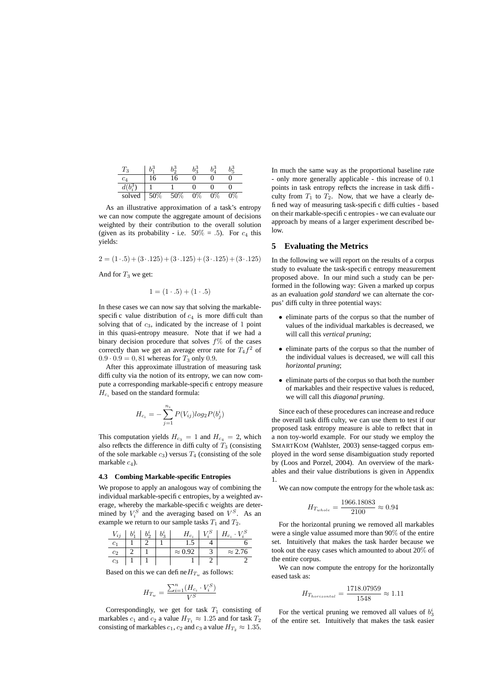| $1_3$  |     | )3<br>)3 |       | LЗ |  |
|--------|-----|----------|-------|----|--|
| $c_4$  | 6   | 6        |       |    |  |
|        |     |          |       |    |  |
| solved | 50% | 50%      | $0\%$ | 0% |  |

As an illustrative approximation of a task's entropy we can now compute the aggregate amount of decisions weighted by their contribution to the overall solution (given as its probability - i.e.  $50\% = .5$ ). For  $c_4$  this yields:

 $2 = (1 \cdot .5) + (3 \cdot .125) + (3 \cdot .125) + (3 \cdot .125) + (3 \cdot .125)$ 

And for  $T_3$  we get:

$$
1 = (1 \cdot .5) + (1 \cdot .5)
$$

In these cases we can now say that solving the markablespecific value distribution of  $c_4$  is more difficult than solving that of  $c_3$ , indicated by the increase of 1 point in this quasi-entropy measure. Note that if we had a binary decision procedure that solves  $f\%$  of the cases correctly than we get an average error rate for  $T_4 f^2$  of  $0.9 \cdot 0.9 = 0, 81$  whereas for  $T_3$  only 0.9.

After this approximate illustration of measuring task difficulty via the notion of its entropy, we can now compute a corresponding markable-specific entropy measure  $H_{c_i}$  based on the standard formula:

$$
H_{c_i} = -\sum_{j=1}^{n_i} P(V_{ij}) log_2 P(b_j^i)
$$

This computation yields  $H_{c_3} = 1$  and  $H_{c_4} = 2$ , which also reflects the difference in difficulty of  $T_3$  (consisting of the sole markable  $c_3$ ) versus  $T_4$  (consisting of the sole markable  $c_4$ ).

#### **4.3 Combing Markable-specific Entropies**

We propose to apply an analogous way of combining the individual markable-specific entropies, by a weighted average, whereby the markable-specific weights are determined by  $V_i^S$  and the averaging based on  $V^S$ . As an example we return to our sample tasks  $T_1$  and  $T_2$ .

| $V_{ii}$ |  | $H_{c_i}$      | $H_{C_i}$      |
|----------|--|----------------|----------------|
|          |  |                |                |
| Cэ       |  | $\approx 0.92$ | $\approx$ 2.76 |
| $c_3$    |  |                |                |

Based on this we can define  $H_{T_w}$  as follows:

$$
H_{T_w} = \frac{\sum_{i=1}^n (H_{c_i} \cdot V_i^S)}{V^S}
$$

Correspondingly, we get for task  $T_1$  consisting of markables  $c_1$  and  $c_2$  a value  $H_{T_1} \approx 1.25$  and for task  $T_2$ consisting of markables  $c_1$ ,  $c_2$  and  $c_3$  a value  $H_{T_2} \approx 1.35$ .

In much the same way as the proportional baseline rate - only more generally applicable - this increase of 0.1 points in task entropy reflects the increase in task difficulty from  $T_1$  to  $T_2$ . Now, that we have a clearly defined way of measuring task-specific difficulties - based on their markable-specific entropies - we can evaluate our approach by means of a larger experiment described below.

#### **5 Evaluating the Metrics**

In the following we will report on the results of a corpus study to evaluate the task-specific entropy measurement proposed above. In our mind such a study can be performed in the following way: Given a marked up corpus as an evaluation *gold standard* we can alternate the corpus' difficulty in three potential ways:

- eliminate parts of the corpus so that the number of values of the individual markables is decreased, we will call this *vertical pruning*;
- eliminate parts of the corpus so that the number of the individual values is decreased, we will call this *horizontal pruning*;
- eliminate parts of the corpus so that both the number of markables and their respective values is reduced, we will call this *diagonal pruning*.

Since each of these procedures can increase and reduce the overall task difficulty, we can use them to test if our proposed task entropy measure is able to reflect that in a non toy-world example. For our study we employ the SMARTKOM (Wahlster, 2003) sense-tagged corpus employed in the word sense disambiguation study reported by (Loos and Porzel, 2004). An overview of the markables and their value distributions is given in Appendix 1.

We can now compute the entropy for the whole task as:

$$
H_{T_{whole}} = \frac{1966.18083}{2100} \approx 0.94
$$

For the horizontal pruning we removed all markables were a single value assumed more than 90% of the entire set. Intuitively that makes the task harder because we took out the easy cases which amounted to about 20% of the entire corpus.

We can now compute the entropy for the horizontally eased task as:

$$
H_{T_{horizontal}} = \frac{1718.07959}{1548} \approx 1.11
$$

For the vertical pruning we removed all values of  $b_3^i$ of the entire set. Intuitively that makes the task easier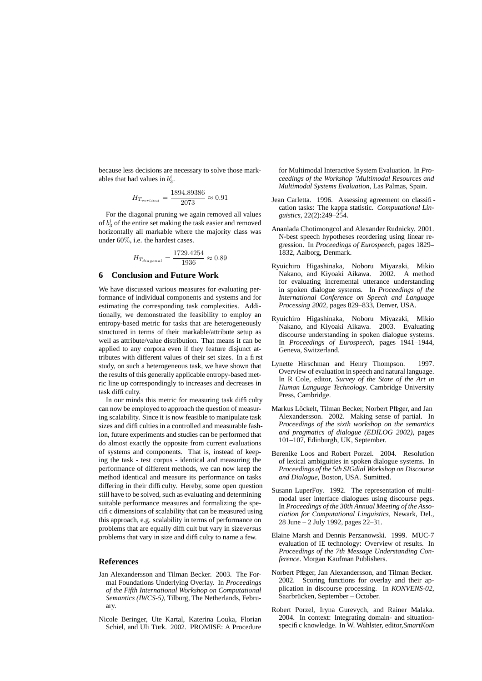because less decisions are necessary to solve those markables that had values in  $b_3^i$ .

$$
H_{T_{vertical}} = \frac{1894.89386}{2073} \approx 0.91
$$

For the diagonal pruning we again removed all values of  $b_3$  of the entire set making the task easier and removed horizontally all markable where the majority class was under 60%, i.e. the hardest cases.

$$
H_{T_{diagonal}} = \frac{1729.4254}{1936} \approx 0.89
$$

#### **6 Conclusion and Future Work**

We have discussed various measures for evaluating performance of individual components and systems and for estimating the corresponding task complexities. Additionally, we demonstrated the feasibility to employ an entropy-based metric for tasks that are heterogeneously structured in terms of their markable/attribute setup as well as attribute/value distribution. That means it can be applied to any corpora even if they feature disjunct attributes with different values of their set sizes. In a first study, on such a heterogeneous task, we have shown that the results of this generally applicable entropy-based metric line up correspondingly to increases and decreases in task difficulty.

In our minds this metric for measuring task difficulty can now be employed to approach the question of measuring scalability. Since it is now feasible to manipulate task sizes and difficulties in a controlled and measurable fashion, future experiments and studies can be performed that do almost exactly the opposite from current evaluations of systems and components. That is, instead of keeping the task - test corpus - identical and measuring the performance of different methods, we can now keep the method identical and measure its performance on tasks differing in their difficulty. Hereby, some open question still have to be solved, such as evaluating and determining suitable performance measures and formalizing the specific dimensions of scalability that can be measured using this approach, e.g. scalability in terms of performance on problems that are equally difficult but vary in size*versus* problems that vary in size and difficulty to name a few.

## **References**

- Jan Alexandersson and Tilman Becker. 2003. The Formal Foundations Underlying Overlay. In *Proceedings of the Fifth International Workshop on Computational Semantics (IWCS-5)*, Tilburg, The Netherlands, February.
- Nicole Beringer, Ute Kartal, Katerina Louka, Florian Schiel, and Uli Türk. 2002. PROMISE: A Procedure

for Multimodal Interactive System Evaluation. In *Proceedings of the Workshop 'Multimodal Resources and Multimodal Systems Evaluation*, Las Palmas, Spain.

- Jean Carletta. 1996. Assessing agreement on classification tasks: The kappa statistic. *Computational Linguistics*, 22(2):249–254.
- Ananlada Chotimongcol and Alexander Rudnicky. 2001. N-best speech hypotheses reordering using linear regression. In *Proceedings of Eurospeech*, pages 1829– 1832, Aalborg, Denmark.
- Ryuichiro Higashinaka, Noboru Miyazaki, Mikio Nakano, and Kiyoaki Aikawa. 2002. A method for evaluating incremental utterance understanding in spoken dialogue systems. In *Proceedings of the International Conference on Speech and Language Processing 2002*, pages 829–833, Denver, USA.
- Ryuichiro Higashinaka, Noboru Miyazaki, Mikio Nakano, and Kiyoaki Aikawa. 2003. Evaluating discourse understanding in spoken dialogue systems. In *Proceedings of Eurospeech*, pages 1941–1944, Geneva, Switzerland.
- Lynette Hirschman and Henry Thompson. 1997. Overview of evaluation in speech and natural language. In R Cole, editor, *Survey of the State of the Art in Human Language Technology*. Cambridge University Press, Cambridge.
- Markus Löckelt, Tilman Becker, Norbert Pfleger, and Jan Alexandersson. 2002. Making sense of partial. In *Proceedings of the sixth workshop on the semantics and pragmatics of dialogue (EDILOG 2002)*, pages 101–107, Edinburgh, UK, September.
- Berenike Loos and Robert Porzel. 2004. Resolution of lexical ambiguities in spoken dialogue systems. In *Proceedings of the 5th SIGdial Workshop on Discourse and Dialogue,* Boston, USA. Sumitted.
- Susann LuperFoy. 1992. The representation of multimodal user interface dialogues using discourse pegs. In *Proceedings of the 30th Annual Meeting of the Association for Computational Linguistics,* Newark, Del., 28 June – 2 July 1992, pages 22–31.
- Elaine Marsh and Dennis Perzanowski. 1999. MUC-7 evaluation of IE technology: Overview of results. In *Proceedings of the 7th Message Understanding Conference*. Morgan Kaufman Publishers.
- Norbert Pfleger, Jan Alexandersson, and Tilman Becker. 2002. Scoring functions for overlay and their application in discourse processing. In *KONVENS-02*, Saarbrücken, September – October.
- Robert Porzel, Iryna Gurevych, and Rainer Malaka. 2004. In context: Integrating domain- and situationspecific knowledge. In W. Wahlster, editor,*SmartKom*